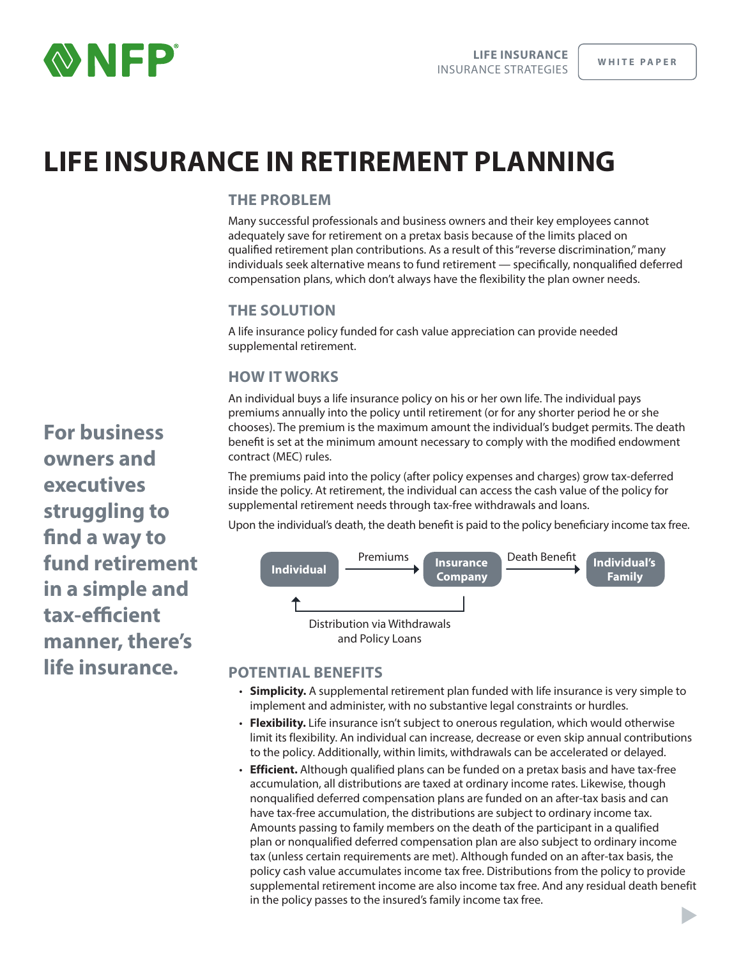

 $\blacktriangleright$ 

# **LIFE INSURANCE IN RETIREMENT PLANNING**

# **THE PROBLEM**

Many successful professionals and business owners and their key employees cannot adequately save for retirement on a pretax basis because of the limits placed on qualified retirement plan contributions. As a result of this "reverse discrimination," many individuals seek alternative means to fund retirement — specifically, nonqualified deferred compensation plans, which don't always have the flexibility the plan owner needs.

# **THE SOLUTION**

A life insurance policy funded for cash value appreciation can provide needed supplemental retirement.

# **HOW IT WORKS**

An individual buys a life insurance policy on his or her own life. The individual pays premiums annually into the policy until retirement (or for any shorter period he or she chooses). The premium is the maximum amount the individual's budget permits. The death benefit is set at the minimum amount necessary to comply with the modified endowment contract (MEC) rules.

The premiums paid into the policy (after policy expenses and charges) grow tax-deferred inside the policy. At retirement, the individual can access the cash value of the policy for supplemental retirement needs through tax-free withdrawals and loans.

Upon the individual's death, the death benefit is paid to the policy beneficiary income tax free.



# **POTENTIAL BENEFITS**

- **Simplicity.** A supplemental retirement plan funded with life insurance is very simple to implement and administer, with no substantive legal constraints or hurdles.
- **Flexibility.** Life insurance isn't subject to onerous regulation, which would otherwise limit its flexibility. An individual can increase, decrease or even skip annual contributions to the policy. Additionally, within limits, withdrawals can be accelerated or delayed.
- **Efficient.** Although qualified plans can be funded on a pretax basis and have tax‐free accumulation, all distributions are taxed at ordinary income rates. Likewise, though nonqualified deferred compensation plans are funded on an after‐tax basis and can have tax-free accumulation, the distributions are subject to ordinary income tax. Amounts passing to family members on the death of the participant in a qualified plan or nonqualified deferred compensation plan are also subject to ordinary income tax (unless certain requirements are met). Although funded on an after‐tax basis, the policy cash value accumulates income tax free. Distributions from the policy to provide supplemental retirement income are also income tax free. And any residual death benefit in the policy passes to the insured's family income tax free.

**For business owners and executives struggling to find a way to fund retirement in a simple and tax-efficient manner, there's life insurance.**